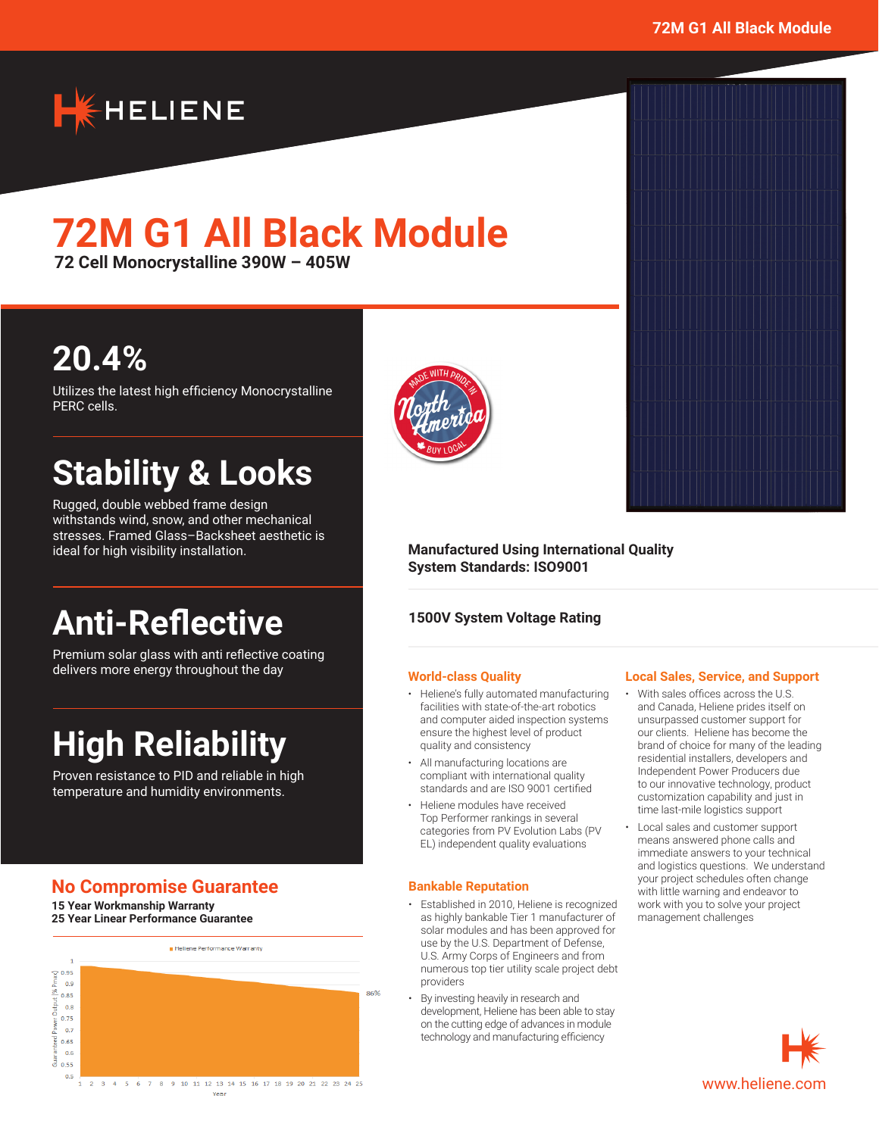

# **72M G1 All Black Module**

**72 Cell Monocrystalline 390W – 405W**

# **20.4%**

Utilizes the latest high efficiency Monocrystalline PERC cells.

# **Stability & Looks**

Rugged, double webbed frame design withstands wind, snow, and other mechanical stresses. Framed Glass–Backsheet aesthetic is ideal for high visibility installation.

# **Anti-Reflective**

Premium solar glass with anti reflective coating delivers more energy throughout the day

# **High Reliability**

Proven resistance to PID and reliable in high temperature and humidity environments.

## **No Compromise Guarantee**

**15 Year Workmanship Warranty 25 Year Linear Performance Guarantee**





#### **Manufactured Using International Quality System Standards: ISO9001**

#### **1500V System Voltage Rating**

#### **World-class Quality**

- Heliene's fully automated manufacturing facilities with state-of-the-art robotics and computer aided inspection systems ensure the highest level of product quality and consistency
- All manufacturing locations are compliant with international quality standards and are ISO 9001 certified
- Heliene modules have received Top Performer rankings in several categories from PV Evolution Labs (PV EL) independent quality evaluations

#### **Bankable Reputation**

- Established in 2010, Heliene is recognized as highly bankable Tier 1 manufacturer of solar modules and has been approved for use by the U.S. Department of Defense, U.S. Army Corps of Engineers and from numerous top tier utility scale project debt providers
- By investing heavily in research and development, Heliene has been able to stay on the cutting edge of advances in module technology and manufacturing efficiency



#### **Local Sales, Service, and Support**

- With sales offices across the U.S. and Canada, Heliene prides itself on unsurpassed customer support for our clients. Heliene has become the brand of choice for many of the leading residential installers, developers and Independent Power Producers due to our innovative technology, product customization capability and just in time last-mile logistics support
- Local sales and customer support means answered phone calls and immediate answers to your technical and logistics questions. We understand your project schedules often change with little warning and endeavor to work with you to solve your project management challenges